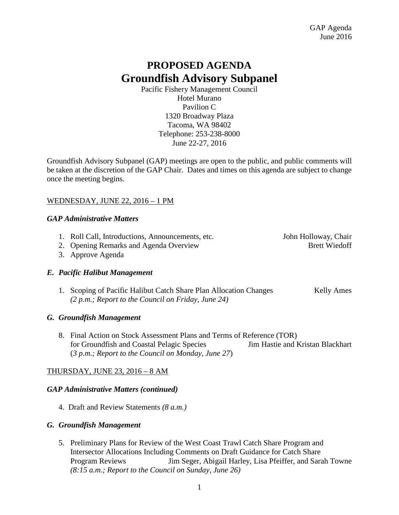# **PROPOSED AGENDA Groundfish Advisory Subpanel**

Pacific Fishery Management Council Hotel Murano Pavilion C 1320 Broadway Plaza Tacoma, WA 98402 Telephone: 253-238-8000 June 22-27, 2016

Groundfish Advisory Subpanel (GAP) meetings are open to the public, and public comments will be taken at the discretion of the GAP Chair. Dates and times on this agenda are subject to change once the meeting begins.

## WEDNESDAY, JUNE 22, 2016 – 1 PM

#### *GAP Administrative Matters*

1. Roll Call, Introductions, Announcements, etc. John Holloway, Chair

2. Opening Remarks and Agenda Overview Brett Wiedoff

3. Approve Agenda

## *E. Pacific Halibut Management*

1. Scoping of Pacific Halibut Catch Share Plan Allocation Changes Kelly Ames *(2 p.m.; Report to the Council on Friday, June 24)*

## *G. Groundfish Management*

8. Final Action on Stock Assessment Plans and Terms of Reference (TOR) for Groundfish and Coastal Pelagic Species Jim Hastie and Kristan Blackhart (*3 p.m.; Report to the Council on Monday, June 27*)

## THURSDAY, JUNE 23, 2016 – 8 AM

## *GAP Administrative Matters (continued)*

4. Draft and Review Statements *(8 a.m.)*

#### *G. Groundfish Management*

5. Preliminary Plans for Review of the West Coast Trawl Catch Share Program and Intersector Allocations Including Comments on Draft Guidance for Catch Share Program Reviews Jim Seger, Abigail Harley, Lisa Pfeiffer, and Sarah Towne *(8:15 a.m.; Report to the Council on Sunday, June 26)*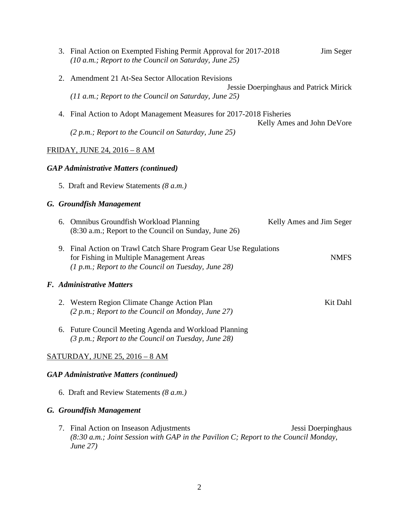|    | 3. Final Action on Exempted Fishing Permit Approval for 2017-2018<br>Jim Seger<br>(10 a.m.; Report to the Council on Saturday, June 25)                                               |
|----|---------------------------------------------------------------------------------------------------------------------------------------------------------------------------------------|
| 2. | Amendment 21 At-Sea Sector Allocation Revisions<br>Jessie Doerpinghaus and Patrick Mirick                                                                                             |
|    | $(11 a.m.; Report to the Council on Saturday, June 25)$                                                                                                                               |
| 4. | Final Action to Adopt Management Measures for 2017-2018 Fisheries<br>Kelly Ames and John DeVore                                                                                       |
|    | $(2 p.m.; Report to the Council on Saturday, June 25)$                                                                                                                                |
|    | FRIDAY, JUNE 24, 2016 - 8 AM                                                                                                                                                          |
|    | <b>GAP Administrative Matters (continued)</b>                                                                                                                                         |
|    | 5. Draft and Review Statements ( $8 a.m.$ )                                                                                                                                           |
|    | <b>G.</b> Groundfish Management                                                                                                                                                       |
| 6. | <b>Omnibus Groundfish Workload Planning</b><br>Kelly Ames and Jim Seger<br>(8:30 a.m.; Report to the Council on Sunday, June 26)                                                      |
|    | 9. Final Action on Trawl Catch Share Program Gear Use Regulations<br>for Fishing in Multiple Management Areas<br><b>NMFS</b><br>$(1 p.m.; Report to the Council on Tuesday, June 28)$ |
|    | F. Administrative Matters                                                                                                                                                             |
|    | 2. Western Region Climate Change Action Plan<br>Kit Dahl<br>(2 p.m.; Report to the Council on Monday, June 27)                                                                        |
| 6. | Future Council Meeting Agenda and Workload Planning<br>(3 p.m.; Report to the Council on Tuesday, June 28)                                                                            |
|    | <b>SATURDAY, JUNE 25, 2016 - 8 AM</b>                                                                                                                                                 |
|    | <b>GAP Administrative Matters (continued)</b>                                                                                                                                         |
|    | 6. Draft and Review Statements ( $8 a.m.$ )                                                                                                                                           |
|    | <b>G.</b> Groundfish Management                                                                                                                                                       |
|    | 7. Final Action on Inseason Adjustments<br>Jessi Doerpinghaus<br>(8:30 a.m.; Joint Session with GAP in the Pavilion C; Report to the Council Monday,<br>June 27)                      |